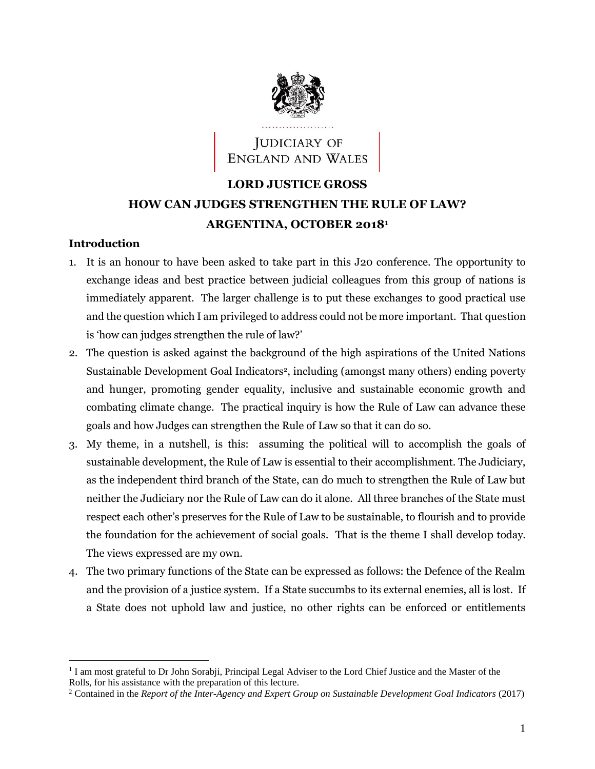

# **JUDICIARY OF** ENGLAND AND WALES

# **LORD JUSTICE GROSS HOW CAN JUDGES STRENGTHEN THE RULE OF LAW? ARGENTINA, OCTOBER 2018<sup>1</sup>**

#### **Introduction**

- 1. It is an honour to have been asked to take part in this J20 conference. The opportunity to exchange ideas and best practice between judicial colleagues from this group of nations is immediately apparent. The larger challenge is to put these exchanges to good practical use and the question which I am privileged to address could not be more important. That question is 'how can judges strengthen the rule of law?'
- 2. The question is asked against the background of the high aspirations of the United Nations Sustainable Development Goal Indicators<sup>2</sup>, including (amongst many others) ending poverty and hunger, promoting gender equality, inclusive and sustainable economic growth and combating climate change. The practical inquiry is how the Rule of Law can advance these goals and how Judges can strengthen the Rule of Law so that it can do so.
- 3. My theme, in a nutshell, is this: assuming the political will to accomplish the goals of sustainable development, the Rule of Law is essential to their accomplishment. The Judiciary, as the independent third branch of the State, can do much to strengthen the Rule of Law but neither the Judiciary nor the Rule of Law can do it alone. All three branches of the State must respect each other's preserves for the Rule of Law to be sustainable, to flourish and to provide the foundation for the achievement of social goals. That is the theme I shall develop today. The views expressed are my own.
- 4. The two primary functions of the State can be expressed as follows: the Defence of the Realm and the provision of a justice system. If a State succumbs to its external enemies, all is lost. If a State does not uphold law and justice, no other rights can be enforced or entitlements

<sup>&</sup>lt;sup>1</sup> I am most grateful to Dr John Sorabji, Principal Legal Adviser to the Lord Chief Justice and the Master of the Rolls, for his assistance with the preparation of this lecture.

<sup>&</sup>lt;sup>2</sup> Contained in the *Report of the Inter-Agency and Expert Group on Sustainable Development Goal Indicators (2017)*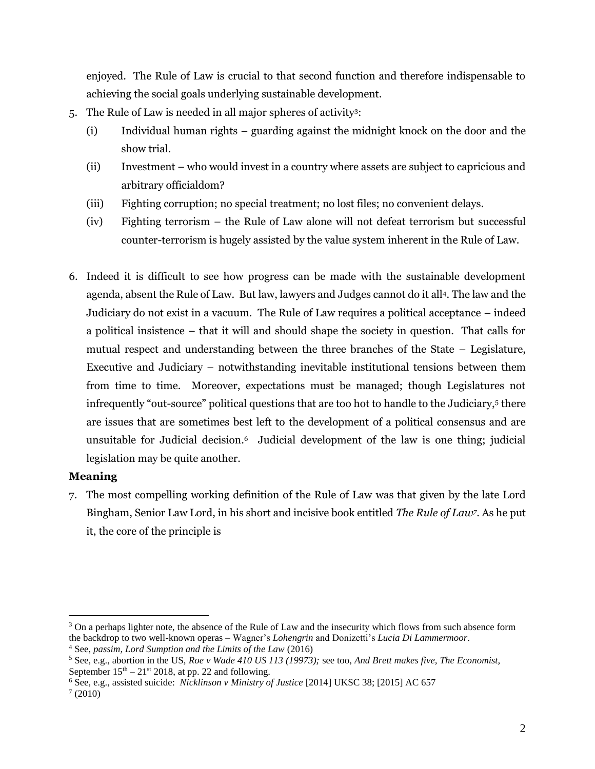enjoyed. The Rule of Law is crucial to that second function and therefore indispensable to achieving the social goals underlying sustainable development.

- 5. The Rule of Law is needed in all major spheres of activity<sup>3</sup> :
	- (i) Individual human rights guarding against the midnight knock on the door and the show trial.
	- (ii) Investment who would invest in a country where assets are subject to capricious and arbitrary officialdom?
	- (iii) Fighting corruption; no special treatment; no lost files; no convenient delays.
	- (iv) Fighting terrorism the Rule of Law alone will not defeat terrorism but successful counter-terrorism is hugely assisted by the value system inherent in the Rule of Law.
- 6. Indeed it is difficult to see how progress can be made with the sustainable development agenda, absent the Rule of Law. But law, lawyers and Judges cannot do it all<sup>4</sup> . The law and the Judiciary do not exist in a vacuum. The Rule of Law requires a political acceptance – indeed a political insistence – that it will and should shape the society in question. That calls for mutual respect and understanding between the three branches of the State – Legislature, Executive and Judiciary – notwithstanding inevitable institutional tensions between them from time to time. Moreover, expectations must be managed; though Legislatures not infrequently "out-source" political questions that are too hot to handle to the Judiciary,<sup>5</sup> there are issues that are sometimes best left to the development of a political consensus and are unsuitable for Judicial decision.<sup>6</sup> Judicial development of the law is one thing; judicial legislation may be quite another.

## **Meaning**

7. The most compelling working definition of the Rule of Law was that given by the late Lord Bingham, Senior Law Lord, in his short and incisive book entitled *The Rule of Law<sup>7</sup>* . As he put it, the core of the principle is

<sup>&</sup>lt;sup>3</sup> On a perhaps lighter note, the absence of the Rule of Law and the insecurity which flows from such absence form the backdrop to two well-known operas – Wagner's *Lohengrin* and Donizetti's *Lucia Di Lammermoor*.

<sup>4</sup> See, *passim, Lord Sumption and the Limits of the Law* (2016)

<sup>5</sup> See, e.g., abortion in the US, *Roe v Wade 410 US 113 (19973);* see too, *And Brett makes five, The Economist,*  September  $15<sup>th</sup> - 21<sup>st</sup>$  2018, at pp. 22 and following.

<sup>6</sup> See, e.g., assisted suicide: *Nicklinson v Ministry of Justice* [2014] UKSC 38; [2015] AC 657

 $(2010)$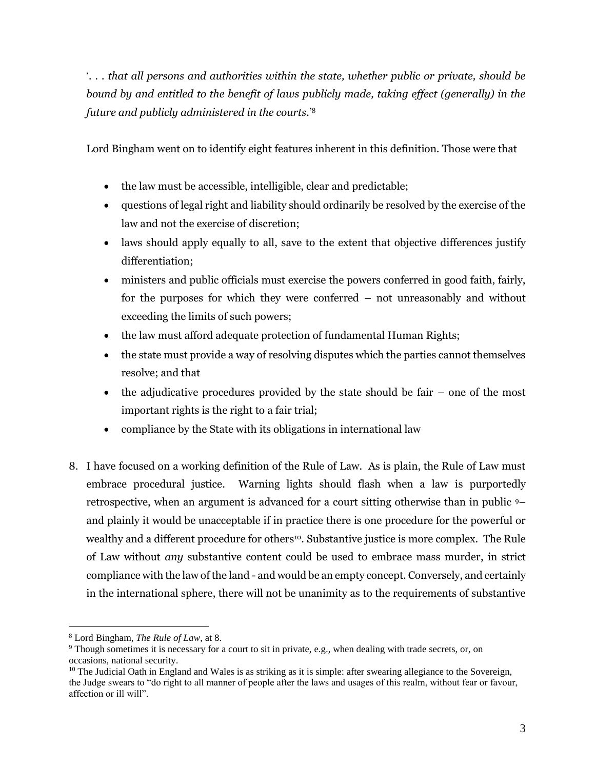'*. . . that all persons and authorities within the state, whether public or private, should be bound by and entitled to the benefit of laws publicly made, taking effect (generally) in the future and publicly administered in the courts.*' 8

Lord Bingham went on to identify eight features inherent in this definition. Those were that

- the law must be accessible, intelligible, clear and predictable;
- questions of legal right and liability should ordinarily be resolved by the exercise of the law and not the exercise of discretion;
- laws should apply equally to all, save to the extent that objective differences justify differentiation;
- ministers and public officials must exercise the powers conferred in good faith, fairly, for the purposes for which they were conferred – not unreasonably and without exceeding the limits of such powers;
- the law must afford adequate protection of fundamental Human Rights;
- the state must provide a way of resolving disputes which the parties cannot themselves resolve; and that
- the adjudicative procedures provided by the state should be fair one of the most important rights is the right to a fair trial;
- compliance by the State with its obligations in international law
- 8. I have focused on a working definition of the Rule of Law. As is plain, the Rule of Law must embrace procedural justice. Warning lights should flash when a law is purportedly retrospective, when an argument is advanced for a court sitting otherwise than in public 9– and plainly it would be unacceptable if in practice there is one procedure for the powerful or wealthy and a different procedure for others<sup>10</sup>. Substantive justice is more complex. The Rule of Law without *any* substantive content could be used to embrace mass murder, in strict compliance with the law of the land - and would be an empty concept. Conversely, and certainly in the international sphere, there will not be unanimity as to the requirements of substantive

<sup>8</sup> Lord Bingham, *The Rule of Law*, at 8.

<sup>&</sup>lt;sup>9</sup> Though sometimes it is necessary for a court to sit in private, e.g., when dealing with trade secrets, or, on occasions, national security.

 $10$  The Judicial Oath in England and Wales is as striking as it is simple: after swearing allegiance to the Sovereign, the Judge swears to "do right to all manner of people after the laws and usages of this realm, without fear or favour, affection or ill will".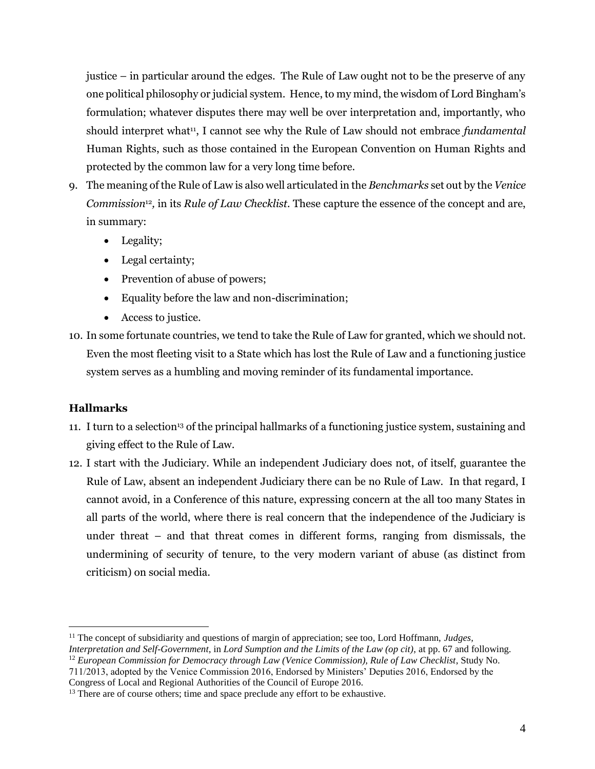justice – in particular around the edges. The Rule of Law ought not to be the preserve of any one political philosophy or judicial system. Hence, to my mind, the wisdom of Lord Bingham's formulation; whatever disputes there may well be over interpretation and, importantly, who should interpret what<sup>11</sup>, I cannot see why the Rule of Law should not embrace *fundamental* Human Rights, such as those contained in the European Convention on Human Rights and protected by the common law for a very long time before.

- 9. The meaning of the Rule of Law is also well articulated in the *Benchmarks* set out by the *Venice Commission*<sup>12</sup> *,* in its *Rule of Law Checklist.* These capture the essence of the concept and are, in summary:
	- Legality;
	- Legal certainty;
	- Prevention of abuse of powers;
	- Equality before the law and non-discrimination;
	- Access to justice.
- 10. In some fortunate countries, we tend to take the Rule of Law for granted, which we should not. Even the most fleeting visit to a State which has lost the Rule of Law and a functioning justice system serves as a humbling and moving reminder of its fundamental importance.

## **Hallmarks**

- 11. I turn to a selection<sup>13</sup> of the principal hallmarks of a functioning justice system, sustaining and giving effect to the Rule of Law.
- 12. I start with the Judiciary. While an independent Judiciary does not, of itself, guarantee the Rule of Law, absent an independent Judiciary there can be no Rule of Law. In that regard, I cannot avoid, in a Conference of this nature, expressing concern at the all too many States in all parts of the world, where there is real concern that the independence of the Judiciary is under threat – and that threat comes in different forms, ranging from dismissals, the undermining of security of tenure, to the very modern variant of abuse (as distinct from criticism) on social media.

<sup>11</sup> The concept of subsidiarity and questions of margin of appreciation; see too, Lord Hoffmann, *Judges, Interpretation and Self-Government*, in *Lord Sumption and the Limits of the Law (op cit)*, at pp. 67 and following. <sup>12</sup> *European Commission for Democracy through Law (Venice Commission), Rule of Law Checklist, Study No.* 711/2013, adopted by the Venice Commission 2016, Endorsed by Ministers' Deputies 2016, Endorsed by the

Congress of Local and Regional Authorities of the Council of Europe 2016.

<sup>&</sup>lt;sup>13</sup> There are of course others; time and space preclude any effort to be exhaustive.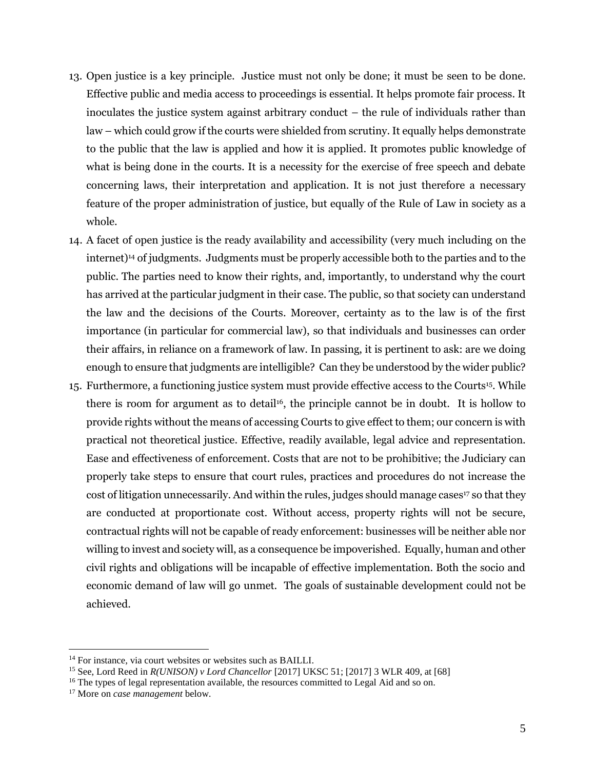- 13. Open justice is a key principle. Justice must not only be done; it must be seen to be done. Effective public and media access to proceedings is essential. It helps promote fair process. It inoculates the justice system against arbitrary conduct – the rule of individuals rather than law – which could grow if the courts were shielded from scrutiny. It equally helps demonstrate to the public that the law is applied and how it is applied. It promotes public knowledge of what is being done in the courts. It is a necessity for the exercise of free speech and debate concerning laws, their interpretation and application. It is not just therefore a necessary feature of the proper administration of justice, but equally of the Rule of Law in society as a whole.
- 14. A facet of open justice is the ready availability and accessibility (very much including on the internet)<sup>14</sup> of judgments. Judgments must be properly accessible both to the parties and to the public. The parties need to know their rights, and, importantly, to understand why the court has arrived at the particular judgment in their case. The public, so that society can understand the law and the decisions of the Courts. Moreover, certainty as to the law is of the first importance (in particular for commercial law), so that individuals and businesses can order their affairs, in reliance on a framework of law. In passing, it is pertinent to ask: are we doing enough to ensure that judgments are intelligible? Can they be understood by the wider public?
- 15. Furthermore, a functioning justice system must provide effective access to the Courts15. While there is room for argument as to detail<sup>16</sup>, the principle cannot be in doubt. It is hollow to provide rights without the means of accessing Courts to give effect to them; our concern is with practical not theoretical justice. Effective, readily available, legal advice and representation. Ease and effectiveness of enforcement. Costs that are not to be prohibitive; the Judiciary can properly take steps to ensure that court rules, practices and procedures do not increase the cost of litigation unnecessarily. And within the rules, judges should manage cases<sup>17</sup> so that they are conducted at proportionate cost. Without access, property rights will not be secure, contractual rights will not be capable of ready enforcement: businesses will be neither able nor willing to invest and society will, as a consequence be impoverished. Equally, human and other civil rights and obligations will be incapable of effective implementation. Both the socio and economic demand of law will go unmet. The goals of sustainable development could not be achieved.

<sup>&</sup>lt;sup>14</sup> For instance, via court websites or websites such as BAILLI.

<sup>15</sup> See, Lord Reed in *R(UNISON) v Lord Chancellor* [2017] UKSC 51; [2017] 3 WLR 409, at [68]

 $16$  The types of legal representation available, the resources committed to Legal Aid and so on.

<sup>17</sup> More on *case management* below.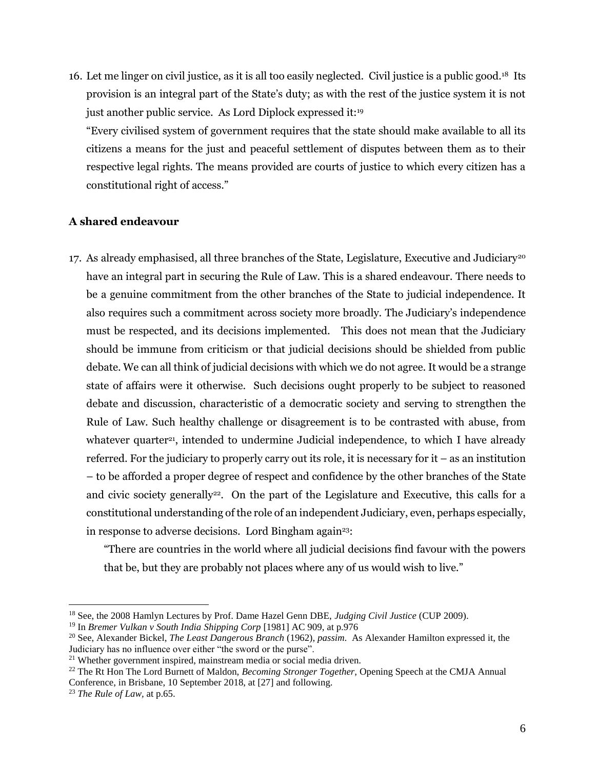16. Let me linger on civil justice, as it is all too easily neglected. Civil justice is a public good.<sup>18</sup> Its provision is an integral part of the State's duty; as with the rest of the justice system it is not just another public service. As Lord Diplock expressed it:<sup>19</sup>

"Every civilised system of government requires that the state should make available to all its citizens a means for the just and peaceful settlement of disputes between them as to their respective legal rights. The means provided are courts of justice to which every citizen has a constitutional right of access."

## **A shared endeavour**

17. As already emphasised, all three branches of the State, Legislature, Executive and Judiciary<sup>20</sup> have an integral part in securing the Rule of Law. This is a shared endeavour. There needs to be a genuine commitment from the other branches of the State to judicial independence. It also requires such a commitment across society more broadly. The Judiciary's independence must be respected, and its decisions implemented. This does not mean that the Judiciary should be immune from criticism or that judicial decisions should be shielded from public debate. We can all think of judicial decisions with which we do not agree. It would be a strange state of affairs were it otherwise. Such decisions ought properly to be subject to reasoned debate and discussion, characteristic of a democratic society and serving to strengthen the Rule of Law. Such healthy challenge or disagreement is to be contrasted with abuse, from whatever quarter<sup>21</sup>, intended to undermine Judicial independence, to which I have already referred. For the judiciary to properly carry out its role, it is necessary for it – as an institution – to be afforded a proper degree of respect and confidence by the other branches of the State and civic society generally<sup>22</sup>. On the part of the Legislature and Executive, this calls for a constitutional understanding of the role of an independent Judiciary, even, perhaps especially, in response to adverse decisions. Lord Bingham again<sup>23</sup>:

"There are countries in the world where all judicial decisions find favour with the powers that be, but they are probably not places where any of us would wish to live."

<sup>18</sup> See, the 2008 Hamlyn Lectures by Prof. Dame Hazel Genn DBE, *Judging Civil Justice* (CUP 2009).

<sup>19</sup> In *Bremer Vulkan v South India Shipping Corp* [1981] AC 909, at p.976

<sup>20</sup> See, Alexander Bickel, *The Least Dangerous Branch* (1962), *passim*. As Alexander Hamilton expressed it, the Judiciary has no influence over either "the sword or the purse".

 $21$  Whether government inspired, mainstream media or social media driven.

<sup>&</sup>lt;sup>22</sup> The Rt Hon The Lord Burnett of Maldon, *Becoming Stronger Together*, Opening Speech at the CMJA Annual Conference, in Brisbane, 10 September 2018, at [27] and following.

<sup>23</sup> *The Rule of Law,* at p.65.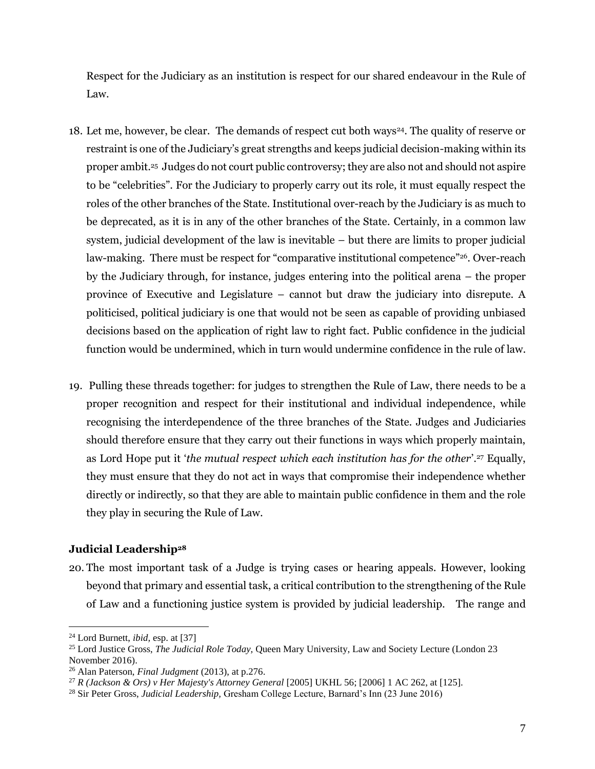Respect for the Judiciary as an institution is respect for our shared endeavour in the Rule of Law.

- 18. Let me, however, be clear. The demands of respect cut both ways<sup>24</sup>. The quality of reserve or restraint is one of the Judiciary's great strengths and keeps judicial decision-making within its proper ambit.<sup>25</sup> Judges do not court public controversy; they are also not and should not aspire to be "celebrities". For the Judiciary to properly carry out its role, it must equally respect the roles of the other branches of the State. Institutional over-reach by the Judiciary is as much to be deprecated, as it is in any of the other branches of the State. Certainly, in a common law system, judicial development of the law is inevitable – but there are limits to proper judicial law-making. There must be respect for "comparative institutional competence"<sup>26</sup> . Over-reach by the Judiciary through, for instance, judges entering into the political arena – the proper province of Executive and Legislature – cannot but draw the judiciary into disrepute. A politicised, political judiciary is one that would not be seen as capable of providing unbiased decisions based on the application of right law to right fact. Public confidence in the judicial function would be undermined, which in turn would undermine confidence in the rule of law.
- 19. Pulling these threads together: for judges to strengthen the Rule of Law, there needs to be a proper recognition and respect for their institutional and individual independence, while recognising the interdependence of the three branches of the State. Judges and Judiciaries should therefore ensure that they carry out their functions in ways which properly maintain, as Lord Hope put it '*the mutual respect which each institution has for the other*'.<sup>27</sup> Equally, they must ensure that they do not act in ways that compromise their independence whether directly or indirectly, so that they are able to maintain public confidence in them and the role they play in securing the Rule of Law.

## **Judicial Leadership<sup>28</sup>**

20. The most important task of a Judge is trying cases or hearing appeals. However, looking beyond that primary and essential task, a critical contribution to the strengthening of the Rule of Law and a functioning justice system is provided by judicial leadership. The range and

<sup>24</sup> Lord Burnett, *ibid,* esp. at [37]

<sup>&</sup>lt;sup>25</sup> Lord Justice Gross, *The Judicial Role Today*, Queen Mary University, Law and Society Lecture (London 23 November 2016).

<sup>26</sup> Alan Paterson, *Final Judgment* (2013), at p.276.

<sup>27</sup> *R (Jackson & Ors) v Her Majesty's Attorney General* [2005] UKHL 56; [2006] 1 AC 262, at [125].

<sup>28</sup> Sir Peter Gross, *Judicial Leadership,* Gresham College Lecture, Barnard's Inn (23 June 2016)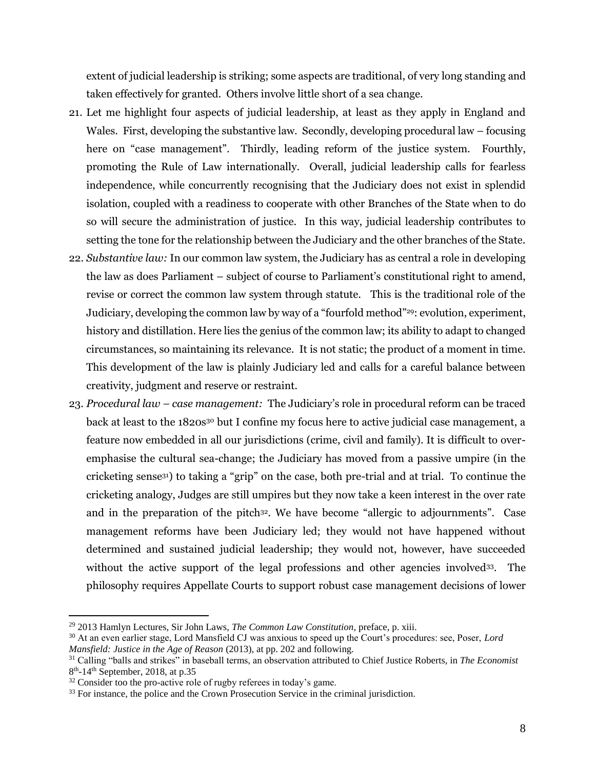extent of judicial leadership is striking; some aspects are traditional, of very long standing and taken effectively for granted. Others involve little short of a sea change.

- 21. Let me highlight four aspects of judicial leadership, at least as they apply in England and Wales. First, developing the substantive law. Secondly, developing procedural law – focusing here on "case management". Thirdly, leading reform of the justice system. Fourthly, promoting the Rule of Law internationally. Overall, judicial leadership calls for fearless independence, while concurrently recognising that the Judiciary does not exist in splendid isolation, coupled with a readiness to cooperate with other Branches of the State when to do so will secure the administration of justice. In this way, judicial leadership contributes to setting the tone for the relationship between the Judiciary and the other branches of the State.
- 22. *Substantive law:* In our common law system, the Judiciary has as central a role in developing the law as does Parliament – subject of course to Parliament's constitutional right to amend, revise or correct the common law system through statute. This is the traditional role of the Judiciary, developing the common law by way of a "fourfold method"29: evolution, experiment, history and distillation. Here lies the genius of the common law; its ability to adapt to changed circumstances, so maintaining its relevance. It is not static; the product of a moment in time. This development of the law is plainly Judiciary led and calls for a careful balance between creativity, judgment and reserve or restraint.
- 23. *Procedural law – case management:* The Judiciary's role in procedural reform can be traced back at least to the 1820s<sup>30</sup> but I confine my focus here to active judicial case management, a feature now embedded in all our jurisdictions (crime, civil and family). It is difficult to overemphasise the cultural sea-change; the Judiciary has moved from a passive umpire (in the cricketing sense31) to taking a "grip" on the case, both pre-trial and at trial. To continue the cricketing analogy, Judges are still umpires but they now take a keen interest in the over rate and in the preparation of the pitch<sup>32</sup>. We have become "allergic to adjournments". Case management reforms have been Judiciary led; they would not have happened without determined and sustained judicial leadership; they would not, however, have succeeded without the active support of the legal professions and other agencies involved<sup>33</sup>. The philosophy requires Appellate Courts to support robust case management decisions of lower

<sup>29</sup> 2013 Hamlyn Lectures, Sir John Laws, *The Common Law Constitution*, preface, p. xiii.

<sup>30</sup> At an even earlier stage, Lord Mansfield CJ was anxious to speed up the Court's procedures: see, Poser, *Lord Mansfield: Justice in the Age of Reason* (2013), at pp. 202 and following.

<sup>31</sup> Calling "balls and strikes" in baseball terms, an observation attributed to Chief Justice Roberts, in *The Economist* 8<sup>th</sup>-14<sup>th</sup> September, 2018, at p.35

<sup>&</sup>lt;sup>32</sup> Consider too the pro-active role of rugby referees in today's game.

<sup>&</sup>lt;sup>33</sup> For instance, the police and the Crown Prosecution Service in the criminal jurisdiction.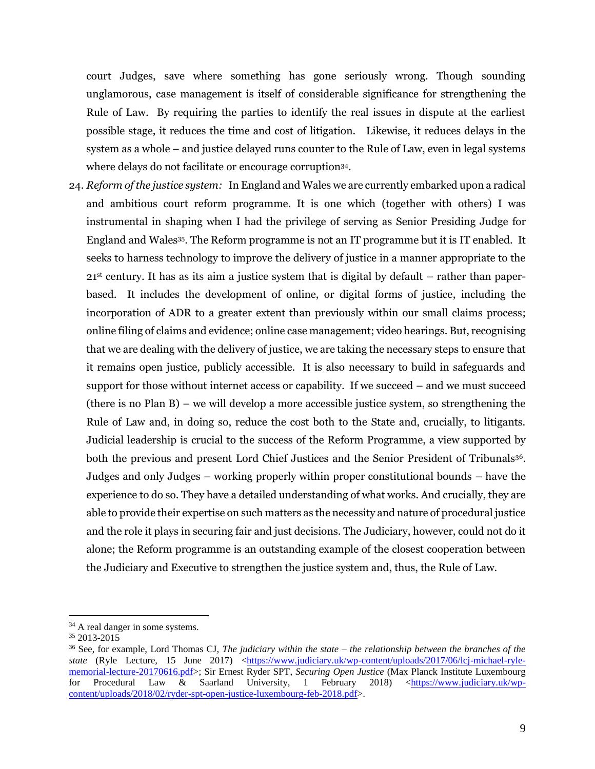court Judges, save where something has gone seriously wrong. Though sounding unglamorous, case management is itself of considerable significance for strengthening the Rule of Law. By requiring the parties to identify the real issues in dispute at the earliest possible stage, it reduces the time and cost of litigation. Likewise, it reduces delays in the system as a whole – and justice delayed runs counter to the Rule of Law, even in legal systems where delays do not facilitate or encourage corruption<sup>34</sup>.

24. *Reform of the justice system:* In England and Wales we are currently embarked upon a radical and ambitious court reform programme. It is one which (together with others) I was instrumental in shaping when I had the privilege of serving as Senior Presiding Judge for England and Wales<sup>35</sup> . The Reform programme is not an IT programme but it is IT enabled. It seeks to harness technology to improve the delivery of justice in a manner appropriate to the  $21<sup>st</sup>$  century. It has as its aim a justice system that is digital by default – rather than paperbased. It includes the development of online, or digital forms of justice, including the incorporation of ADR to a greater extent than previously within our small claims process; online filing of claims and evidence; online case management; video hearings. But, recognising that we are dealing with the delivery of justice, we are taking the necessary steps to ensure that it remains open justice, publicly accessible. It is also necessary to build in safeguards and support for those without internet access or capability. If we succeed – and we must succeed (there is no Plan B) – we will develop a more accessible justice system, so strengthening the Rule of Law and, in doing so, reduce the cost both to the State and, crucially, to litigants. Judicial leadership is crucial to the success of the Reform Programme, a view supported by both the previous and present Lord Chief Justices and the Senior President of Tribunals<sup>36</sup>. Judges and only Judges – working properly within proper constitutional bounds – have the experience to do so. They have a detailed understanding of what works. And crucially, they are able to provide their expertise on such matters as the necessity and nature of procedural justice and the role it plays in securing fair and just decisions. The Judiciary, however, could not do it alone; the Reform programme is an outstanding example of the closest cooperation between the Judiciary and Executive to strengthen the justice system and, thus, the Rule of Law.

<sup>&</sup>lt;sup>34</sup> A real danger in some systems.

 $35\ 2013 - 2015$ 

<sup>36</sup> See, for example, Lord Thomas CJ, *The judiciary within the state – the relationship between the branches of the state* (Ryle Lecture, 15 June 2017) [<https://www.judiciary.uk/wp-content/uploads/2017/06/lcj-michael-ryle](https://www.judiciary.uk/wp-content/uploads/2017/06/lcj-michael-ryle-memorial-lecture-20170616.pdf)[memorial-lecture-20170616.pdf>](https://www.judiciary.uk/wp-content/uploads/2017/06/lcj-michael-ryle-memorial-lecture-20170616.pdf); Sir Ernest Ryder SPT, *Securing Open Justice* (Max Planck Institute Luxembourg for Procedural Law & Saarland University, 1 February 2018) [<https://www.judiciary.uk/wp](https://www.judiciary.uk/wp-content/uploads/2018/02/ryder-spt-open-justice-luxembourg-feb-2018.pdf)[content/uploads/2018/02/ryder-spt-open-justice-luxembourg-feb-2018.pdf>](https://www.judiciary.uk/wp-content/uploads/2018/02/ryder-spt-open-justice-luxembourg-feb-2018.pdf).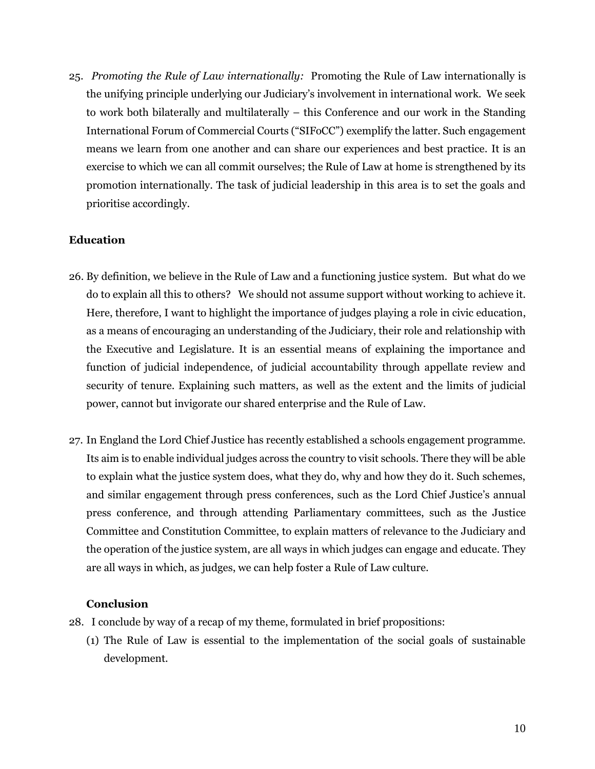25. *Promoting the Rule of Law internationally:* Promoting the Rule of Law internationally is the unifying principle underlying our Judiciary's involvement in international work. We seek to work both bilaterally and multilaterally – this Conference and our work in the Standing International Forum of Commercial Courts ("SIFoCC") exemplify the latter. Such engagement means we learn from one another and can share our experiences and best practice. It is an exercise to which we can all commit ourselves; the Rule of Law at home is strengthened by its promotion internationally. The task of judicial leadership in this area is to set the goals and prioritise accordingly.

#### **Education**

- 26. By definition, we believe in the Rule of Law and a functioning justice system. But what do we do to explain all this to others? We should not assume support without working to achieve it. Here, therefore, I want to highlight the importance of judges playing a role in civic education, as a means of encouraging an understanding of the Judiciary, their role and relationship with the Executive and Legislature. It is an essential means of explaining the importance and function of judicial independence, of judicial accountability through appellate review and security of tenure. Explaining such matters, as well as the extent and the limits of judicial power, cannot but invigorate our shared enterprise and the Rule of Law.
- 27. In England the Lord Chief Justice has recently established a schools engagement programme. Its aim is to enable individual judges across the country to visit schools. There they will be able to explain what the justice system does, what they do, why and how they do it. Such schemes, and similar engagement through press conferences, such as the Lord Chief Justice's annual press conference, and through attending Parliamentary committees, such as the Justice Committee and Constitution Committee, to explain matters of relevance to the Judiciary and the operation of the justice system, are all ways in which judges can engage and educate. They are all ways in which, as judges, we can help foster a Rule of Law culture.

#### **Conclusion**

- 28. I conclude by way of a recap of my theme, formulated in brief propositions:
	- (1) The Rule of Law is essential to the implementation of the social goals of sustainable development.